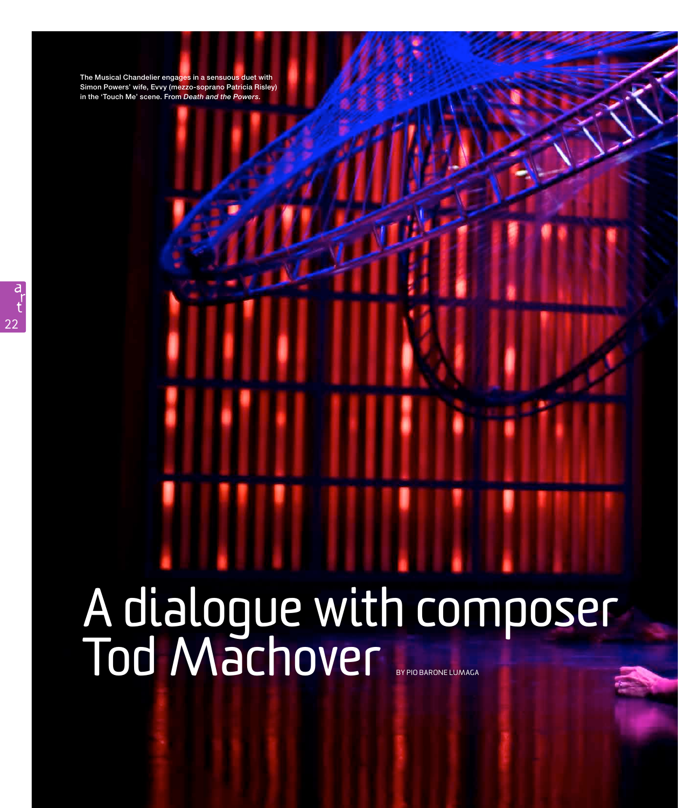The Musical Chandelier engages in a sensuous duet with Simon Powers' wife, Evvy (mezzo-soprano Patricia Risley) in the 'Touch Me' scene. From *Death and the Powers.*

# A dialogue with composer Tod Machover BY PIO BARONE LUMAGA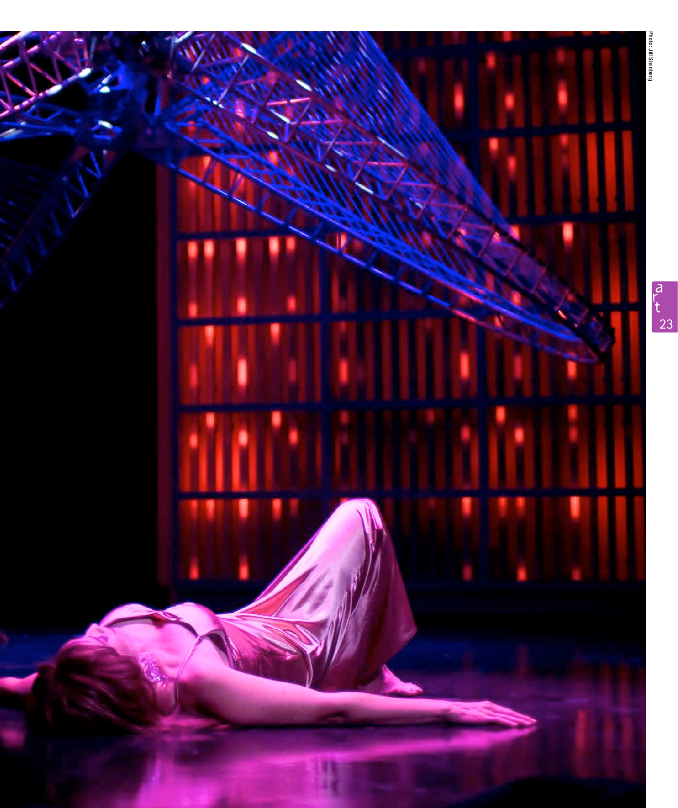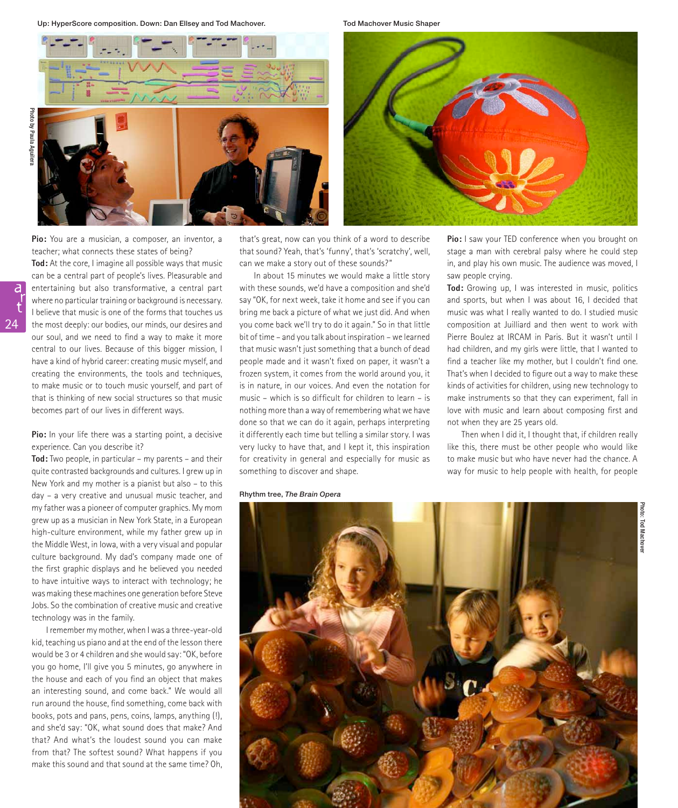Up: HyperScore composition. Down: Dan Ellsey and Tod Machover. The Tod Machover Music Shaper







**Pio:** You are a musician, a composer, an inventor, a teacher; what connects these states of being? **Tod:** At the core, I imagine all possible ways that music can be a central part of people's lives. Pleasurable and entertaining but also transformative, a central part where no particular training or background is necessary. I believe that music is one of the forms that touches us the most deeply: our bodies, our minds, our desires and our soul, and we need to find a way to make it more central to our lives. Because of this bigger mission, I have a kind of hybrid career: creating music myself, and creating the environments, the tools and techniques, to make music or to touch music yourself, and part of that is thinking of new social structures so that music becomes part of our lives in different ways.

# **Pio:** In your life there was a starting point, a decisive experience. Can you describe it?

**Tod:** Two people, in particular – my parents – and their quite contrasted backgrounds and cultures. I grew up in New York and my mother is a pianist but also – to this day – a very creative and unusual music teacher, and my father was a pioneer of computer graphics. My mom grew up as a musician in New York State, in a European high-culture environment, while my father grew up in the Middle West, in Iowa, with a very visual and popular culture background. My dad's company made one of the first graphic displays and he believed you needed to have intuitive ways to interact with technology; he was making these machines one generation before Steve Jobs. So the combination of creative music and creative technology was in the family.

I remember my mother, when I was a three-year-old kid, teaching us piano and at the end of the lesson there would be 3 or 4 children and she would say: "OK, before you go home, I'll give you 5 minutes, go anywhere in the house and each of you find an object that makes an interesting sound, and come back." We would all run around the house, find something, come back with books, pots and pans, pens, coins, lamps, anything (!), and she'd say: "OK, what sound does that make? And that? And what's the loudest sound you can make from that? The softest sound? What happens if you make this sound and that sound at the same time? Oh,

that's great, now can you think of a word to describe that sound? Yeah, that's 'funny', that's 'scratchy', well, can we make a story out of these sounds?"

In about 15 minutes we would make a little story with these sounds, we'd have a composition and she'd say "OK, for next week, take it home and see if you can bring me back a picture of what we just did. And when you come back we'll try to do it again." So in that little bit of time – and you talk about inspiration – we learned that music wasn't just something that a bunch of dead people made and it wasn't fixed on paper, it wasn't a frozen system, it comes from the world around you, it is in nature, in our voices. And even the notation for music – which is so difficult for children to learn – is nothing more than a way of remembering what we have done so that we can do it again, perhaps interpreting it differently each time but telling a similar story. I was very lucky to have that, and I kept it, this inspiration for creativity in general and especially for music as something to discover and shape.

### Rhythm tree, *The Brain Opera*

**Pio:** I saw your TED conference when you brought on stage a man with cerebral palsy where he could step in, and play his own music. The audience was moved, I saw people crying.

**Tod:** Growing up, I was interested in music, politics and sports, but when I was about 16, I decided that music was what I really wanted to do. I studied music composition at Juilliard and then went to work with Pierre Boulez at IRCAM in Paris. But it wasn't until I had children, and my girls were little, that I wanted to find a teacher like my mother, but I couldn't find one. That's when I decided to figure out a way to make these kinds of activities for children, using new technology to make instruments so that they can experiment, fall in love with music and learn about composing first and not when they are 25 years old.

Then when I did it, I thought that, if children really like this, there must be other people who would like to make music but who have never had the chance. A way for music to help people with health, for people

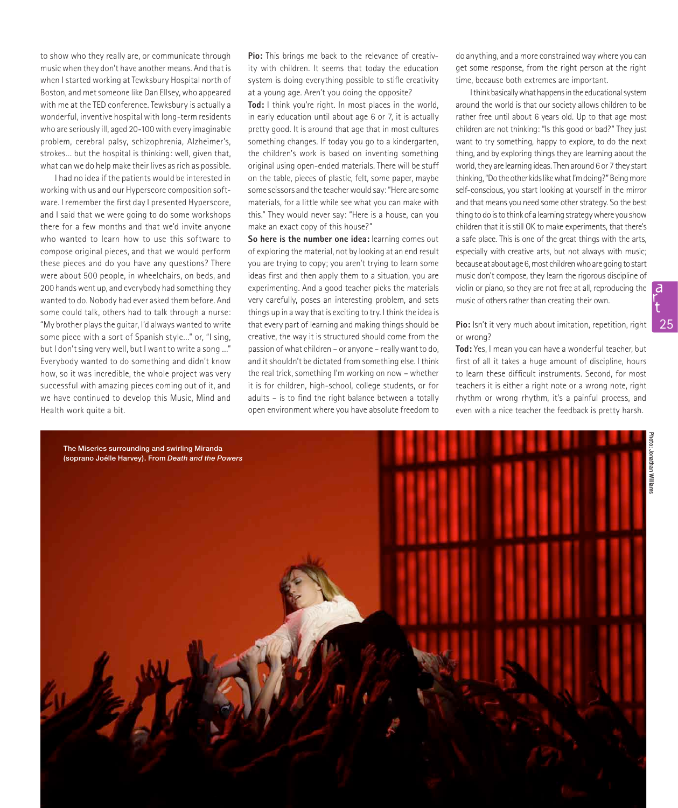to show who they really are, or communicate through music when they don't have another means. And that is when I started working at Tewksbury Hospital north of Boston, and met someone like Dan Ellsey, who appeared with me at the TED conference. Tewksbury is actually a wonderful, inventive hospital with long-term residents who are seriously ill, aged 20-100 with every imaginable problem, cerebral palsy, schizophrenia, Alzheimer's, strokes… but the hospital is thinking: well, given that, what can we do help make their lives as rich as possible.

I had no idea if the patients would be interested in working with us and our Hyperscore composition software. I remember the first day I presented Hyperscore, and I said that we were going to do some workshops there for a few months and that we'd invite anyone who wanted to learn how to use this software to compose original pieces, and that we would perform these pieces and do you have any questions? There were about 500 people, in wheelchairs, on beds, and 200 hands went up, and everybody had something they wanted to do. Nobody had ever asked them before. And some could talk, others had to talk through a nurse: "My brother plays the guitar, I'd always wanted to write some piece with a sort of Spanish style…" or, "I sing, but I don't sing very well, but I want to write a song …" Everybody wanted to do something and didn't know how, so it was incredible, the whole project was very successful with amazing pieces coming out of it, and we have continued to develop this Music, Mind and Health work quite a bit.

**Pio:** This brings me back to the relevance of creativity with children. It seems that today the education system is doing everything possible to stifle creativity at a young age. Aren't you doing the opposite?

**Tod:** I think you're right. In most places in the world, in early education until about age 6 or 7, it is actually pretty good. It is around that age that in most cultures something changes. If today you go to a kindergarten, the children's work is based on inventing something original using open-ended materials. There will be stuff on the table, pieces of plastic, felt, some paper, maybe some scissors and the teacher would say: "Here are some materials, for a little while see what you can make with this." They would never say: "Here is a house, can you make an exact copy of this house?"

**So here is the number one idea:** learning comes out of exploring the material, not by looking at an end result you are trying to copy; you aren't trying to learn some ideas first and then apply them to a situation, you are experimenting. And a good teacher picks the materials very carefully, poses an interesting problem, and sets things up in a way that is exciting to try. I think the idea is that every part of learning and making things should be creative, the way it is structured should come from the passion of what children – or anyone – really want to do, and it shouldn't be dictated from something else. I think the real trick, something I'm working on now – whether it is for children, high-school, college students, or for adults – is to find the right balance between a totally open environment where you have absolute freedom to

do anything, and a more constrained way where you can get some response, from the right person at the right time, because both extremes are important.

I think basically what happens in the educational system around the world is that our society allows children to be rather free until about 6 years old. Up to that age most children are not thinking: "Is this good or bad?" They just want to try something, happy to explore, to do the next thing, and by exploring things they are learning about the world, they are learning ideas. Then around 6 or 7 they start thinking, "Do the other kids like what I'm doing?" Being more self-conscious, you start looking at yourself in the mirror and that means you need some other strategy. So the best thing to do is to think of a learning strategy where you show children that it is still OK to make experiments, that there's a safe place. This is one of the great things with the arts, especially with creative arts, but not always with music; because at about age 6, most children who are going to start music don't compose, they learn the rigorous discipline of violin or piano, so they are not free at all, reproducing the music of others rather than creating their own.

# **Pio:** Isn't it very much about imitation, repetition, right or wrong?

**Tod:** Yes, I mean you can have a wonderful teacher, but first of all it takes a huge amount of discipline, hours to learn these difficult instruments. Second, for most teachers it is either a right note or a wrong note, right rhythm or wrong rhythm, it's a painful process, and even with a nice teacher the feedback is pretty harsh.



a r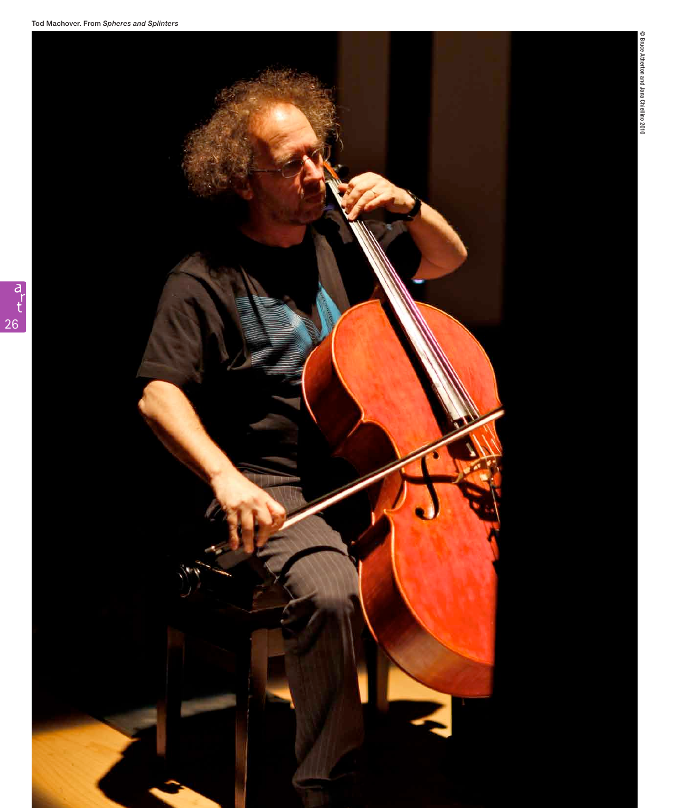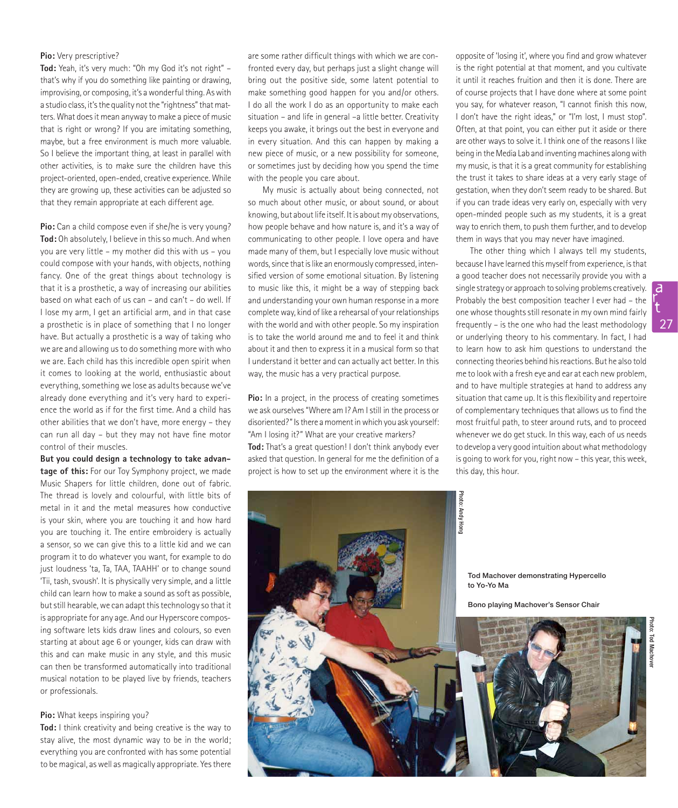# **Pio:** Very prescriptive?

**Tod:** Yeah, it's very much: "Oh my God it's not right" – that's why if you do something like painting or drawing, improvising, or composing, it's a wonderful thing. As with a studio class, it's the quality not the "rightness" that matters. What does it mean anyway to make a piece of music that is right or wrong? If you are imitating something, maybe, but a free environment is much more valuable. So I believe the important thing, at least in parallel with other activities, is to make sure the children have this project-oriented, open-ended, creative experience. While they are growing up, these activities can be adjusted so that they remain appropriate at each different age.

**Pio:** Can a child compose even if she/he is very young? **Tod:** Oh absolutely, I believe in this so much. And when you are very little – my mother did this with us – you could compose with your hands, with objects, nothing fancy. One of the great things about technology is that it is a prosthetic, a way of increasing our abilities based on what each of us can – and can't – do well. If I lose my arm, I get an artificial arm, and in that case a prosthetic is in place of something that I no longer have. But actually a prosthetic is a way of taking who we are and allowing us to do something more with who we are. Each child has this incredible open spirit when it comes to looking at the world, enthusiastic about everything, something we lose as adults because we've already done everything and it's very hard to experience the world as if for the first time. And a child has other abilities that we don't have, more energy – they can run all day – but they may not have fine motor control of their muscles.

**But you could design a technology to take advantage of this:** For our Toy Symphony project, we made Music Shapers for little children, done out of fabric. The thread is lovely and colourful, with little bits of metal in it and the metal measures how conductive is your skin, where you are touching it and how hard you are touching it. The entire embroidery is actually a sensor, so we can give this to a little kid and we can program it to do whatever you want, for example to do just loudness 'ta, Ta, TAA, TAAHH' or to change sound 'Tii, tash, svoush'. It is physically very simple, and a little child can learn how to make a sound as soft as possible, but still hearable, we can adapt this technology so that it is appropriate for any age. And our Hyperscore composing software lets kids draw lines and colours, so even starting at about age 6 or younger, kids can draw with this and can make music in any style, and this music can then be transformed automatically into traditional musical notation to be played live by friends, teachers or professionals.

## **Pio:** What keeps inspiring you?

**Tod:** I think creativity and being creative is the way to stay alive, the most dynamic way to be in the world; everything you are confronted with has some potential to be magical, as well as magically appropriate. Yes there

are some rather difficult things with which we are confronted every day, but perhaps just a slight change will bring out the positive side, some latent potential to make something good happen for you and/or others. I do all the work I do as an opportunity to make each situation – and life in general –a little better. Creativity keeps you awake, it brings out the best in everyone and in every situation. And this can happen by making a new piece of music, or a new possibility for someone, or sometimes just by deciding how you spend the time with the people you care about.

My music is actually about being connected, not so much about other music, or about sound, or about knowing, but about life itself. It is about my observations, how people behave and how nature is, and it's a way of communicating to other people. I love opera and have made many of them, but I especially love music without words, since that is like an enormously compressed, intensified version of some emotional situation. By listening to music like this, it might be a way of stepping back and understanding your own human response in a more complete way, kind of like a rehearsal of your relationships with the world and with other people. So my inspiration is to take the world around me and to feel it and think about it and then to express it in a musical form so that I understand it better and can actually act better. In this way, the music has a very practical purpose.

**Pio:** In a project, in the process of creating sometimes we ask ourselves "Where am I? Am I still in the process or disoriented?" Is there a moment in which you ask yourself: "Am I losing it?" What are your creative markers? **Tod:** That's a great question! I don't think anybody ever asked that question. In general for me the definition of a project is how to set up the environment where it is the

opposite of 'losing it', where you find and grow whatever is the right potential at that moment, and you cultivate it until it reaches fruition and then it is done. There are of course projects that I have done where at some point you say, for whatever reason, "I cannot finish this now, I don't have the right ideas," or "I'm lost, I must stop". Often, at that point, you can either put it aside or there are other ways to solve it. I think one of the reasons I like being in the Media Lab and inventing machines along with my music, is that it is a great community for establishing the trust it takes to share ideas at a very early stage of gestation, when they don't seem ready to be shared. But if you can trade ideas very early on, especially with very open-minded people such as my students, it is a great way to enrich them, to push them further, and to develop them in ways that you may never have imagined.

The other thing which I always tell my students, because I have learned this myself from experience, is that a good teacher does not necessarily provide you with a single strategy or approach to solving problems creatively. Probably the best composition teacher I ever had – the one whose thoughts still resonate in my own mind fairly frequently – is the one who had the least methodology or underlying theory to his commentary. In fact, I had to learn how to ask him questions to understand the connecting theories behind his reactions. But he also told me to look with a fresh eye and ear at each new problem, and to have multiple strategies at hand to address any situation that came up. It is this flexibility and repertoire of complementary techniques that allows us to find the most fruitful path, to steer around ruts, and to proceed whenever we do get stuck. In this way, each of us needs to develop a very good intuition about what methodology is going to work for you, right now – this year, this week, this day, this hour.